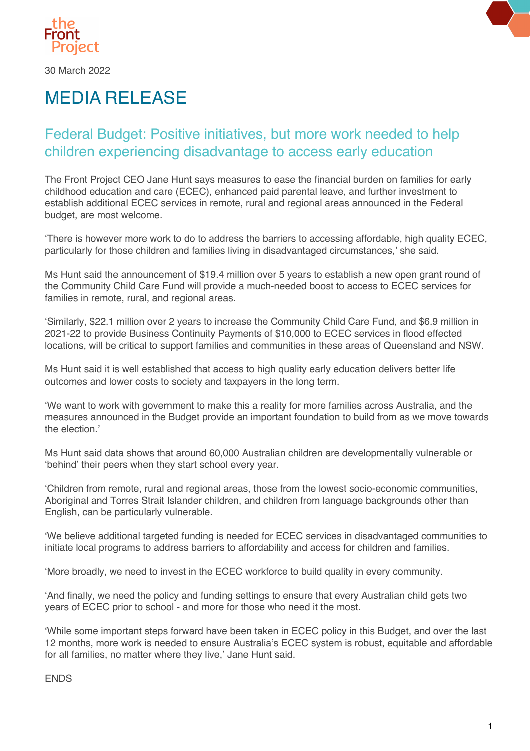

30 March 2022

## MEDIA RELEASE

## Federal Budget: Positive initiatives, but more work needed to help children experiencing disadvantage to access early education

The Front Project CEO Jane Hunt says measures to ease the financial burden on families for early childhood education and care (ECEC), enhanced paid parental leave, and further investment to establish additional ECEC services in remote, rural and regional areas announced in the Federal budget, are most welcome.

'There is however more work to do to address the barriers to accessing affordable, high quality ECEC, particularly for those children and families living in disadvantaged circumstances,' she said.

Ms Hunt said the announcement of \$19.4 million over 5 years to establish a new open grant round of the Community Child Care Fund will provide a much-needed boost to access to ECEC services for families in remote, rural, and regional areas.

'Similarly, \$22.1 million over 2 years to increase the Community Child Care Fund, and \$6.9 million in 2021-22 to provide Business Continuity Payments of \$10,000 to ECEC services in flood effected locations, will be critical to support families and communities in these areas of Queensland and NSW.

Ms Hunt said it is well established that access to high quality early education delivers better life outcomes and lower costs to society and taxpayers in the long term.

'We want to work with government to make this a reality for more families across Australia, and the measures announced in the Budget provide an important foundation to build from as we move towards the election.'

Ms Hunt said data shows that around 60,000 Australian children are developmentally vulnerable or 'behind' their peers when they start school every year.  

'Children from remote, rural and regional areas, those from the lowest socio-economic communities, Aboriginal and Torres Strait Islander children, and children from language backgrounds other than English, can be particularly vulnerable.

'We believe additional targeted funding is needed for ECEC services in disadvantaged communities to initiate local programs to address barriers to affordability and access for children and families.

'More broadly, we need to invest in the ECEC workforce to build quality in every community.

'And finally, we need the policy and funding settings to ensure that every Australian child gets two years of ECEC prior to school - and more for those who need it the most.

'While some important steps forward have been taken in ECEC policy in this Budget, and over the last 12 months, more work is needed to ensure Australia's ECEC system is robust, equitable and affordable for all families, no matter where they live,' Jane Hunt said.

ENDS